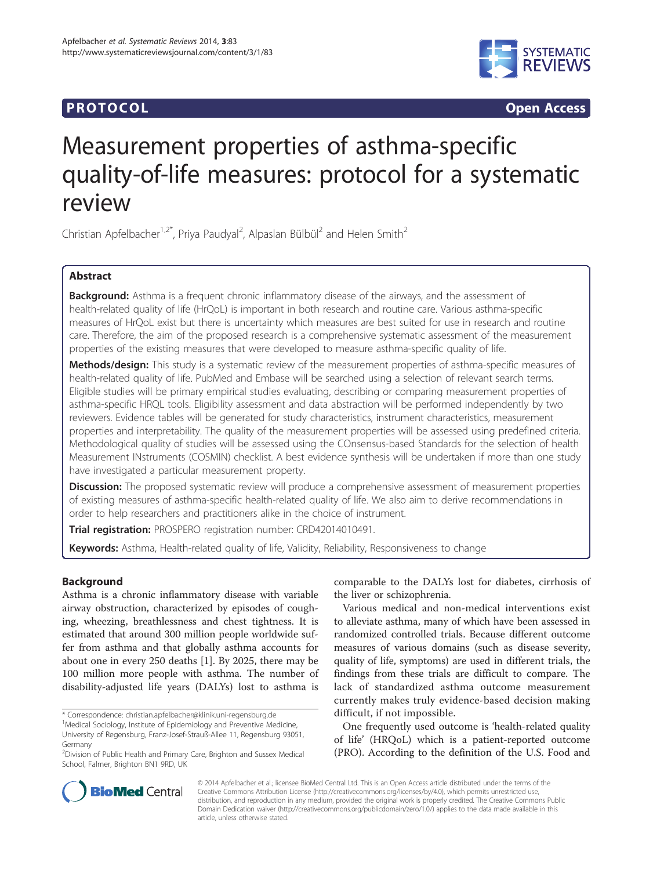## **PROTOCOL CONSUMING ACCESS CONSUMING ACCESS**



# Measurement properties of asthma-specific quality-of-life measures: protocol for a systematic review

Christian Apfelbacher $^{1,2^*}$ , Priya Paudyal<sup>2</sup>, Alpaslan Bülbül<sup>2</sup> and Helen Smith<sup>2</sup>

## Abstract

Background: Asthma is a frequent chronic inflammatory disease of the airways, and the assessment of health-related quality of life (HrQoL) is important in both research and routine care. Various asthma-specific measures of HrQoL exist but there is uncertainty which measures are best suited for use in research and routine care. Therefore, the aim of the proposed research is a comprehensive systematic assessment of the measurement properties of the existing measures that were developed to measure asthma-specific quality of life.

Methods/design: This study is a systematic review of the measurement properties of asthma-specific measures of health-related quality of life. PubMed and Embase will be searched using a selection of relevant search terms. Eligible studies will be primary empirical studies evaluating, describing or comparing measurement properties of asthma-specific HRQL tools. Eligibility assessment and data abstraction will be performed independently by two reviewers. Evidence tables will be generated for study characteristics, instrument characteristics, measurement properties and interpretability. The quality of the measurement properties will be assessed using predefined criteria. Methodological quality of studies will be assessed using the COnsensus-based Standards for the selection of health Measurement INstruments (COSMIN) checklist. A best evidence synthesis will be undertaken if more than one study have investigated a particular measurement property.

**Discussion:** The proposed systematic review will produce a comprehensive assessment of measurement properties of existing measures of asthma-specific health-related quality of life. We also aim to derive recommendations in order to help researchers and practitioners alike in the choice of instrument.

Trial registration: PROSPERO registration number: [CRD42014010491](http://www.crd.york.ac.uk/PROSPERO/display_record.asp?ID=CRD42014010491).

Keywords: Asthma, Health-related quality of life, Validity, Reliability, Responsiveness to change

## Background

Asthma is a chronic inflammatory disease with variable airway obstruction, characterized by episodes of coughing, wheezing, breathlessness and chest tightness. It is estimated that around 300 million people worldwide suffer from asthma and that globally asthma accounts for about one in every 250 deaths [\[1\]](#page-4-0). By 2025, there may be 100 million more people with asthma. The number of disability-adjusted life years (DALYs) lost to asthma is

\* Correspondence: [christian.apfelbacher@klinik.uni-regensburg.de](mailto:christian.apfelbacher@klinik.uni-regensburg.de) <sup>1</sup>

comparable to the DALYs lost for diabetes, cirrhosis of the liver or schizophrenia.

Various medical and non-medical interventions exist to alleviate asthma, many of which have been assessed in randomized controlled trials. Because different outcome measures of various domains (such as disease severity, quality of life, symptoms) are used in different trials, the findings from these trials are difficult to compare. The lack of standardized asthma outcome measurement currently makes truly evidence-based decision making difficult, if not impossible.

One frequently used outcome is 'health-related quality of life' (HRQoL) which is a patient-reported outcome (PRO). According to the definition of the U.S. Food and



© 2014 Apfelbacher et al.; licensee BioMed Central Ltd. This is an Open Access article distributed under the terms of the Creative Commons Attribution License (<http://creativecommons.org/licenses/by/4.0>), which permits unrestricted use, distribution, and reproduction in any medium, provided the original work is properly credited. The Creative Commons Public Domain Dedication waiver [\(http://creativecommons.org/publicdomain/zero/1.0/\)](http://creativecommons.org/publicdomain/zero/1.0/) applies to the data made available in this article, unless otherwise stated.

<sup>&</sup>lt;sup>1</sup>Medical Sociology, Institute of Epidemiology and Preventive Medicine, University of Regensburg, Franz-Josef-Strauß-Allee 11, Regensburg 93051, Germany

<sup>&</sup>lt;sup>2</sup> Division of Public Health and Primary Care, Brighton and Sussex Medical School, Falmer, Brighton BN1 9RD, UK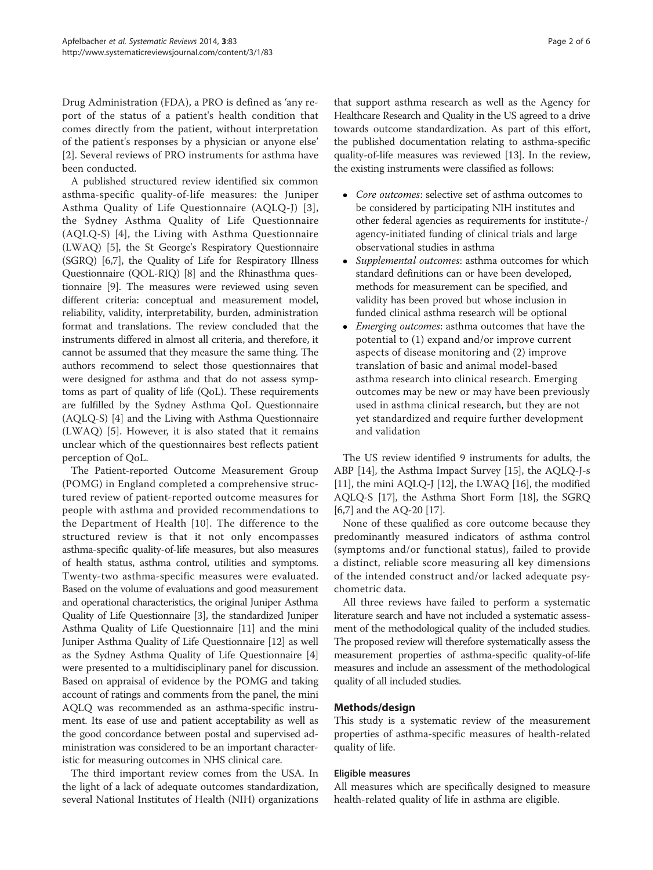Drug Administration (FDA), a PRO is defined as 'any report of the status of a patient's health condition that comes directly from the patient, without interpretation of the patient's responses by a physician or anyone else' [[2\]](#page-4-0). Several reviews of PRO instruments for asthma have been conducted.

A published structured review identified six common asthma-specific quality-of-life measures: the Juniper Asthma Quality of Life Questionnaire (AQLQ-J) [[3](#page-4-0)], the Sydney Asthma Quality of Life Questionnaire (AQLQ-S) [[4](#page-4-0)], the Living with Asthma Questionnaire (LWAQ) [\[5](#page-4-0)], the St George's Respiratory Questionnaire (SGRQ) [\[6,7\]](#page-4-0), the Quality of Life for Respiratory Illness Questionnaire (QOL-RIQ) [[8\]](#page-4-0) and the Rhinasthma questionnaire [[9](#page-4-0)]. The measures were reviewed using seven different criteria: conceptual and measurement model, reliability, validity, interpretability, burden, administration format and translations. The review concluded that the instruments differed in almost all criteria, and therefore, it cannot be assumed that they measure the same thing. The authors recommend to select those questionnaires that were designed for asthma and that do not assess symptoms as part of quality of life (QoL). These requirements are fulfilled by the Sydney Asthma QoL Questionnaire (AQLQ-S) [[4\]](#page-4-0) and the Living with Asthma Questionnaire (LWAQ) [[5\]](#page-4-0). However, it is also stated that it remains unclear which of the questionnaires best reflects patient perception of QoL.

The Patient-reported Outcome Measurement Group (POMG) in England completed a comprehensive structured review of patient-reported outcome measures for people with asthma and provided recommendations to the Department of Health [[10\]](#page-4-0). The difference to the structured review is that it not only encompasses asthma-specific quality-of-life measures, but also measures of health status, asthma control, utilities and symptoms. Twenty-two asthma-specific measures were evaluated. Based on the volume of evaluations and good measurement and operational characteristics, the original Juniper Asthma Quality of Life Questionnaire [\[3\]](#page-4-0), the standardized Juniper Asthma Quality of Life Questionnaire [\[11\]](#page-4-0) and the mini Juniper Asthma Quality of Life Questionnaire [[12](#page-4-0)] as well as the Sydney Asthma Quality of Life Questionnaire [[4](#page-4-0)] were presented to a multidisciplinary panel for discussion. Based on appraisal of evidence by the POMG and taking account of ratings and comments from the panel, the mini AQLQ was recommended as an asthma-specific instrument. Its ease of use and patient acceptability as well as the good concordance between postal and supervised administration was considered to be an important characteristic for measuring outcomes in NHS clinical care.

The third important review comes from the USA. In the light of a lack of adequate outcomes standardization, several National Institutes of Health (NIH) organizations

that support asthma research as well as the Agency for Healthcare Research and Quality in the US agreed to a drive towards outcome standardization. As part of this effort, the published documentation relating to asthma-specific quality-of-life measures was reviewed [[13](#page-4-0)]. In the review, the existing instruments were classified as follows:

- *Core outcomes:* selective set of asthma outcomes to be considered by participating NIH institutes and other federal agencies as requirements for institute-/ agency-initiated funding of clinical trials and large observational studies in asthma
- Supplemental outcomes: asthma outcomes for which standard definitions can or have been developed, methods for measurement can be specified, and validity has been proved but whose inclusion in funded clinical asthma research will be optional
- *Emerging outcomes*: asthma outcomes that have the potential to (1) expand and/or improve current aspects of disease monitoring and (2) improve translation of basic and animal model-based asthma research into clinical research. Emerging outcomes may be new or may have been previously used in asthma clinical research, but they are not yet standardized and require further development and validation

The US review identified 9 instruments for adults, the ABP [\[14\]](#page-4-0), the Asthma Impact Survey [\[15\]](#page-4-0), the AQLQ-J-s [[11](#page-4-0)], the mini AQLQ-J [[12](#page-4-0)], the LWAQ [\[16\]](#page-4-0), the modified AQLQ-S [\[17\]](#page-4-0), the Asthma Short Form [\[18\]](#page-4-0), the SGRQ [[6,7\]](#page-4-0) and the AQ-20 [\[17\]](#page-4-0).

None of these qualified as core outcome because they predominantly measured indicators of asthma control (symptoms and/or functional status), failed to provide a distinct, reliable score measuring all key dimensions of the intended construct and/or lacked adequate psychometric data.

All three reviews have failed to perform a systematic literature search and have not included a systematic assessment of the methodological quality of the included studies. The proposed review will therefore systematically assess the measurement properties of asthma-specific quality-of-life measures and include an assessment of the methodological quality of all included studies.

## Methods/design

This study is a systematic review of the measurement properties of asthma-specific measures of health-related quality of life.

## Eligible measures

All measures which are specifically designed to measure health-related quality of life in asthma are eligible.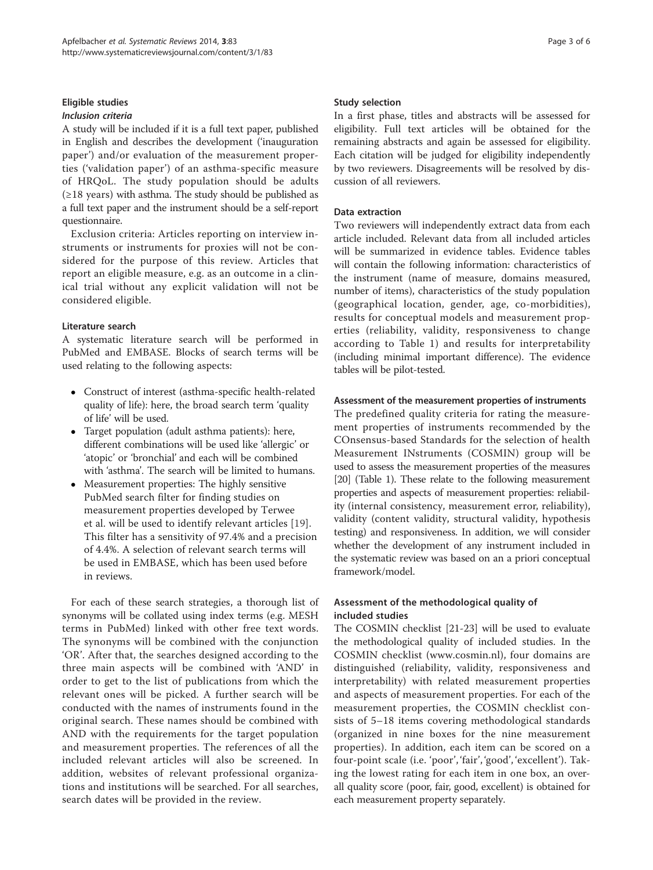## Eligible studies

## Inclusion criteria

A study will be included if it is a full text paper, published in English and describes the development ('inauguration paper') and/or evaluation of the measurement properties ('validation paper') of an asthma-specific measure of HRQoL. The study population should be adults  $(\geq 18$  years) with asthma. The study should be published as a full text paper and the instrument should be a self-report questionnaire.

Exclusion criteria: Articles reporting on interview instruments or instruments for proxies will not be considered for the purpose of this review. Articles that report an eligible measure, e.g. as an outcome in a clinical trial without any explicit validation will not be considered eligible.

## Literature search

A systematic literature search will be performed in PubMed and EMBASE. Blocks of search terms will be used relating to the following aspects:

- Construct of interest (asthma-specific health-related quality of life): here, the broad search term 'quality of life' will be used.
- Target population (adult asthma patients): here, different combinations will be used like 'allergic' or 'atopic' or 'bronchial' and each will be combined with 'asthma'. The search will be limited to humans.
- Measurement properties: The highly sensitive PubMed search filter for finding studies on measurement properties developed by Terwee et al. will be used to identify relevant articles [[19\]](#page-4-0). This filter has a sensitivity of 97.4% and a precision of 4.4%. A selection of relevant search terms will be used in EMBASE, which has been used before in reviews.

For each of these search strategies, a thorough list of synonyms will be collated using index terms (e.g. MESH terms in PubMed) linked with other free text words. The synonyms will be combined with the conjunction 'OR'. After that, the searches designed according to the three main aspects will be combined with 'AND' in order to get to the list of publications from which the relevant ones will be picked. A further search will be conducted with the names of instruments found in the original search. These names should be combined with AND with the requirements for the target population and measurement properties. The references of all the included relevant articles will also be screened. In addition, websites of relevant professional organizations and institutions will be searched. For all searches, search dates will be provided in the review.

## Study selection

In a first phase, titles and abstracts will be assessed for eligibility. Full text articles will be obtained for the remaining abstracts and again be assessed for eligibility. Each citation will be judged for eligibility independently by two reviewers. Disagreements will be resolved by discussion of all reviewers.

## Data extraction

Two reviewers will independently extract data from each article included. Relevant data from all included articles will be summarized in evidence tables. Evidence tables will contain the following information: characteristics of the instrument (name of measure, domains measured, number of items), characteristics of the study population (geographical location, gender, age, co-morbidities), results for conceptual models and measurement properties (reliability, validity, responsiveness to change according to Table [1\)](#page-3-0) and results for interpretability (including minimal important difference). The evidence tables will be pilot-tested.

## Assessment of the measurement properties of instruments

The predefined quality criteria for rating the measurement properties of instruments recommended by the COnsensus-based Standards for the selection of health Measurement INstruments (COSMIN) group will be used to assess the measurement properties of the measures [[20](#page-4-0)] (Table [1\)](#page-3-0). These relate to the following measurement properties and aspects of measurement properties: reliability (internal consistency, measurement error, reliability), validity (content validity, structural validity, hypothesis testing) and responsiveness. In addition, we will consider whether the development of any instrument included in the systematic review was based on an a priori conceptual framework/model.

## Assessment of the methodological quality of included studies

The COSMIN checklist [[21-](#page-4-0)[23\]](#page-5-0) will be used to evaluate the methodological quality of included studies. In the COSMIN checklist ([www.cosmin.nl](http://www.cosmin.nl)), four domains are distinguished (reliability, validity, responsiveness and interpretability) with related measurement properties and aspects of measurement properties. For each of the measurement properties, the COSMIN checklist consists of 5–18 items covering methodological standards (organized in nine boxes for the nine measurement properties). In addition, each item can be scored on a four-point scale (i.e. 'poor', 'fair', 'good', 'excellent'). Taking the lowest rating for each item in one box, an overall quality score (poor, fair, good, excellent) is obtained for each measurement property separately.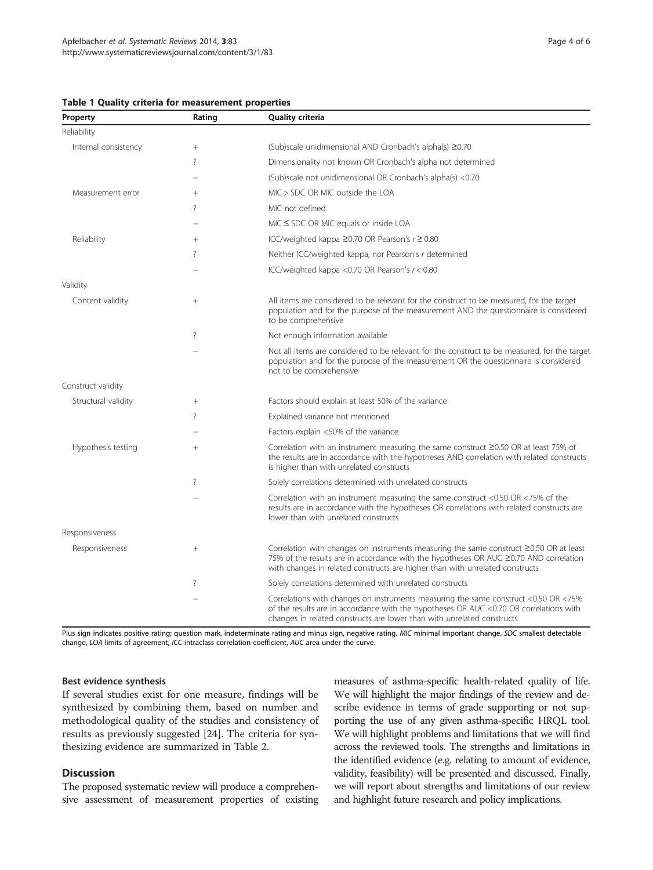#### <span id="page-3-0"></span>Table 1 Quality criteria for measurement properties

| Property             | Rating             | <b>Quality criteria</b>                                                                                                                                                                                                                                               |
|----------------------|--------------------|-----------------------------------------------------------------------------------------------------------------------------------------------------------------------------------------------------------------------------------------------------------------------|
| Reliability          |                    |                                                                                                                                                                                                                                                                       |
| Internal consistency | $+$                | (Sub)scale unidimensional AND Cronbach's alpha(s) ≥0.70                                                                                                                                                                                                               |
|                      | 7                  | Dimensionality not known OR Cronbach's alpha not determined                                                                                                                                                                                                           |
|                      |                    | (Sub) scale not unidimensional OR Cronbach's alpha(s) <0.70                                                                                                                                                                                                           |
| Measurement error    | $^{+}$             | MIC > SDC OR MIC outside the LOA                                                                                                                                                                                                                                      |
|                      | ?                  | MIC not defined                                                                                                                                                                                                                                                       |
|                      |                    | $MIC \leq SDC OR MIC$ equals or inside LOA                                                                                                                                                                                                                            |
| Reliability          | $^{+}$             | ICC/weighted kappa $\geq$ 0.70 OR Pearson's $r \geq 0.80$                                                                                                                                                                                                             |
|                      | ?                  | Neither ICC/weighted kappa, nor Pearson's r determined                                                                                                                                                                                                                |
|                      |                    | ICC/weighted kappa < $0.70$ OR Pearson's $r < 0.80$                                                                                                                                                                                                                   |
| Validity             |                    |                                                                                                                                                                                                                                                                       |
| Content validity     | $+$                | All items are considered to be relevant for the construct to be measured, for the target<br>population and for the purpose of the measurement AND the questionnaire is considered<br>to be comprehensive                                                              |
|                      | ?                  | Not enough information available                                                                                                                                                                                                                                      |
|                      |                    | Not all items are considered to be relevant for the construct to be measured, for the target<br>population and for the purpose of the measurement OR the questionnaire is considered<br>not to be comprehensive                                                       |
| Construct validity   |                    |                                                                                                                                                                                                                                                                       |
| Structural validity  | $\! + \!\!\!\!$    | Factors should explain at least 50% of the variance                                                                                                                                                                                                                   |
|                      | $\overline{\cdot}$ | Explained variance not mentioned                                                                                                                                                                                                                                      |
|                      |                    | Factors explain <50% of the variance                                                                                                                                                                                                                                  |
| Hypothesis testing   | $^{+}$             | Correlation with an instrument measuring the same construct $\geq$ 0.50 OR at least 75% of<br>the results are in accordance with the hypotheses AND correlation with related constructs<br>is higher than with unrelated constructs                                   |
|                      | $\overline{\cdot}$ | Solely correlations determined with unrelated constructs                                                                                                                                                                                                              |
|                      |                    | Correlation with an instrument measuring the same construct <0.50 OR <75% of the<br>results are in accordance with the hypotheses OR correlations with related constructs are<br>lower than with unrelated constructs                                                 |
| Responsiveness       |                    |                                                                                                                                                                                                                                                                       |
| Responsiveness       | $^{+}$             | Correlation with changes on instruments measuring the same construct $\geq$ 0.50 OR at least<br>75% of the results are in accordance with the hypotheses OR AUC ≥0.70 AND correlation<br>with changes in related constructs are higher than with unrelated constructs |
|                      | ?                  | Solely correlations determined with unrelated constructs                                                                                                                                                                                                              |
|                      |                    | Correlations with changes on instruments measuring the same construct <0.50 OR <75%<br>of the results are in accordance with the hypotheses OR AUC <0.70 OR correlations with<br>changes in related constructs are lower than with unrelated constructs               |

Plus sign indicates positive rating; question mark, indeterminate rating and minus sign, negative rating. MIC minimal important change, SDC smallest detectable change, LOA limits of agreement, ICC intraclass correlation coefficient, AUC area under the curve.

#### Best evidence synthesis

If several studies exist for one measure, findings will be synthesized by combining them, based on number and methodological quality of the studies and consistency of results as previously suggested [[24\]](#page-5-0). The criteria for synthesizing evidence are summarized in Table [2](#page-4-0).

#### **Discussion**

The proposed systematic review will produce a comprehensive assessment of measurement properties of existing measures of asthma-specific health-related quality of life. We will highlight the major findings of the review and describe evidence in terms of grade supporting or not supporting the use of any given asthma-specific HRQL tool. We will highlight problems and limitations that we will find across the reviewed tools. The strengths and limitations in the identified evidence (e.g. relating to amount of evidence, validity, feasibility) will be presented and discussed. Finally, we will report about strengths and limitations of our review and highlight future research and policy implications.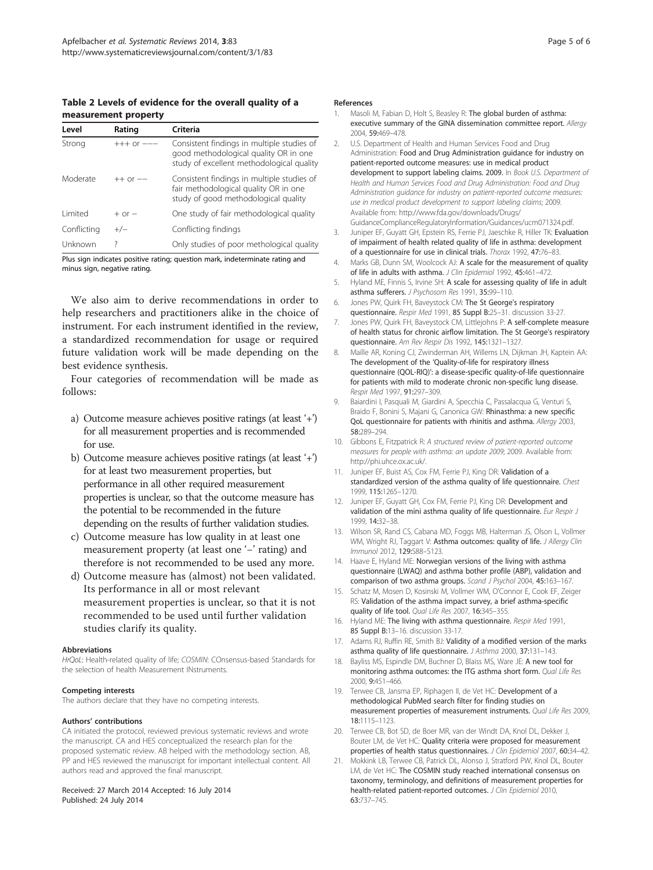#### <span id="page-4-0"></span>Table 2 Levels of evidence for the overall quality of a measurement property

| Level       | Rating           | Criteria                                                                                                                         |
|-------------|------------------|----------------------------------------------------------------------------------------------------------------------------------|
| Strong      | $+++$ or         | Consistent findings in multiple studies of<br>good methodological quality OR in one<br>study of excellent methodological quality |
| Moderate    | $++$ or $--$     | Consistent findings in multiple studies of<br>fair methodological quality OR in one<br>study of good methodological quality      |
| I imited    | $+$ $\alpha r -$ | One study of fair methodological quality                                                                                         |
| Conflicting | $+/-$            | Conflicting findings                                                                                                             |
| Unknown     |                  | Only studies of poor methological quality                                                                                        |

Plus sign indicates positive rating; question mark, indeterminate rating and minus sign, negative rating.

We also aim to derive recommendations in order to help researchers and practitioners alike in the choice of instrument. For each instrument identified in the review, a standardized recommendation for usage or required future validation work will be made depending on the best evidence synthesis.

Four categories of recommendation will be made as follows:

- a) Outcome measure achieves positive ratings (at least '+') for all measurement properties and is recommended for use.
- b) Outcome measure achieves positive ratings (at least '+') for at least two measurement properties, but performance in all other required measurement properties is unclear, so that the outcome measure has the potential to be recommended in the future depending on the results of further validation studies.
- c) Outcome measure has low quality in at least one measurement property (at least one '−' rating) and therefore is not recommended to be used any more.
- d) Outcome measure has (almost) not been validated. Its performance in all or most relevant measurement properties is unclear, so that it is not recommended to be used until further validation studies clarify its quality.

#### Abbreviations

HrQoL: Health-related quality of life; COSMIN: COnsensus-based Standards for the selection of health Measurement INstruments.

#### Competing interests

The authors declare that they have no competing interests.

#### Authors' contributions

CA initiated the protocol, reviewed previous systematic reviews and wrote the manuscript. CA and HES conceptualized the research plan for the proposed systematic review. AB helped with the methodology section. AB, PP and HES reviewed the manuscript for important intellectual content. All authors read and approved the final manuscript.

#### Received: 27 March 2014 Accepted: 16 July 2014 Published: 24 July 2014

#### References

- Masoli M, Fabian D, Holt S, Beasley R: The global burden of asthma: executive summary of the GINA dissemination committee report. Allergy 2004, 59:469–478.
- 2. U.S. Department of Health and Human Services Food and Drug Administration: Food and Drug Administration guidance for industry on patient-reported outcome measures: use in medical product development to support labeling claims. 2009. In Book U.S. Department of Health and Human Services Food and Drug Administration: Food and Drug Administration guidance for industry on patient-reported outcome measures: use in medical product development to support labeling claims; 2009. Available from: [http://www.fda.gov/downloads/Drugs/](http://www.fda.gov/downloads/Drugs/GuidanceComplianceRegulatoryInformation/Guidances/ucm071324.pdf) [GuidanceComplianceRegulatoryInformation/Guidances/ucm071324.pdf](http://www.fda.gov/downloads/Drugs/GuidanceComplianceRegulatoryInformation/Guidances/ucm071324.pdf).
- 3. Juniper EF, Guyatt GH, Epstein RS, Ferrie PJ, Jaeschke R, Hiller TK: Evaluation of impairment of health related quality of life in asthma: development of a questionnaire for use in clinical trials. Thorax 1992, 47:76–83.
- 4. Marks GB, Dunn SM, Woolcock AJ: A scale for the measurement of quality of life in adults with asthma. J Clin Epidemiol 1992, 45:461-472.
- 5. Hyland ME, Finnis S, Irvine SH: A scale for assessing quality of life in adult asthma sufferers. J Psychosom Res 1991, 35:99–110.
- 6. Jones PW, Quirk FH, Baveystock CM: The St George's respiratory questionnaire. Respir Med 1991, 85 Suppl B:25–31. discussion 33-27.
- 7. Jones PW, Quirk FH, Baveystock CM, Littlejohns P: A self-complete measure of health status for chronic airflow limitation. The St George's respiratory questionnaire. Am Rev Respir Dis 1992, 145:1321–1327.
- 8. Maille AR, Koning CJ, Zwinderman AH, Willems LN, Dijkman JH, Kaptein AA: The development of the 'Quality-of-life for respiratory illness questionnaire (QOL-RIQ)': a disease-specific quality-of-life questionnaire for patients with mild to moderate chronic non-specific lung disease. Respir Med 1997, 91:297–309.
- 9. Baiardini I, Pasquali M, Giardini A, Specchia C, Passalacqua G, Venturi S, Braido F, Bonini S, Majani G, Canonica GW: Rhinasthma: a new specific QoL questionnaire for patients with rhinitis and asthma. Allergy 2003, 58:289–294.
- 10. Gibbons E, Fitzpatrick R: A structured review of patient-reported outcome measures for people with asthma: an update 2009; 2009. Available from: [http://phi.uhce.ox.ac.uk/.](http://phi.uhce.ox.ac.uk/)
- 11. Juniper EF, Buist AS, Cox FM, Ferrie PJ, King DR: Validation of a standardized version of the asthma quality of life questionnaire. Chest 1999, 115:1265–1270.
- 12. Juniper EF, Guyatt GH, Cox FM, Ferrie PJ, King DR: Development and validation of the mini asthma quality of life questionnaire. Eur Respir J 1999, 14:32–38.
- 13. Wilson SR, Rand CS, Cabana MD, Foggs MB, Halterman JS, Olson L, Vollmer WM, Wright RJ, Taggart V: Asthma outcomes: quality of life. J Allergy Clin Immunol 2012, 129:S88–S123.
- 14. Haave E, Hyland ME: Norwegian versions of the living with asthma questionnaire (LWAQ) and asthma bother profile (ABP), validation and comparison of two asthma groups. Scand J Psychol 2004, 45:163-167.
- 15. Schatz M, Mosen D, Kosinski M, Vollmer WM, O'Connor E, Cook EF, Zeiger RS: Validation of the asthma impact survey, a brief asthma-specific quality of life tool. Qual Life Res 2007, 16:345–355.
- 16. Hyland ME: The living with asthma questionnaire. Respir Med 1991, 85 Suppl B:13–16. discussion 33-17.
- 17. Adams RJ, Ruffin RE, Smith BJ: Validity of a modified version of the marks asthma quality of life questionnaire. J Asthma 2000, 37:131-143.
- 18. Bayliss MS, Espindle DM, Buchner D, Blaiss MS, Ware JE: A new tool for monitoring asthma outcomes: the ITG asthma short form. Qual Life Res 2000, 9:451–466.
- 19. Terwee CB, Jansma EP, Riphagen II, de Vet HC: Development of a methodological PubMed search filter for finding studies on measurement properties of measurement instruments. Qual Life Res 2009, 18:1115–1123.
- 20. Terwee CB, Bot SD, de Boer MR, van der Windt DA, Knol DL, Dekker J, Bouter LM, de Vet HC: Quality criteria were proposed for measurement properties of health status questionnaires. J Clin Epidemiol 2007, 60:34-42.
- 21. Mokkink LB, Terwee CB, Patrick DL, Alonso J, Stratford PW, Knol DL, Bouter LM, de Vet HC: The COSMIN study reached international consensus on taxonomy, terminology, and definitions of measurement properties for health-related patient-reported outcomes. J Clin Epidemiol 2010, 63:737–745.